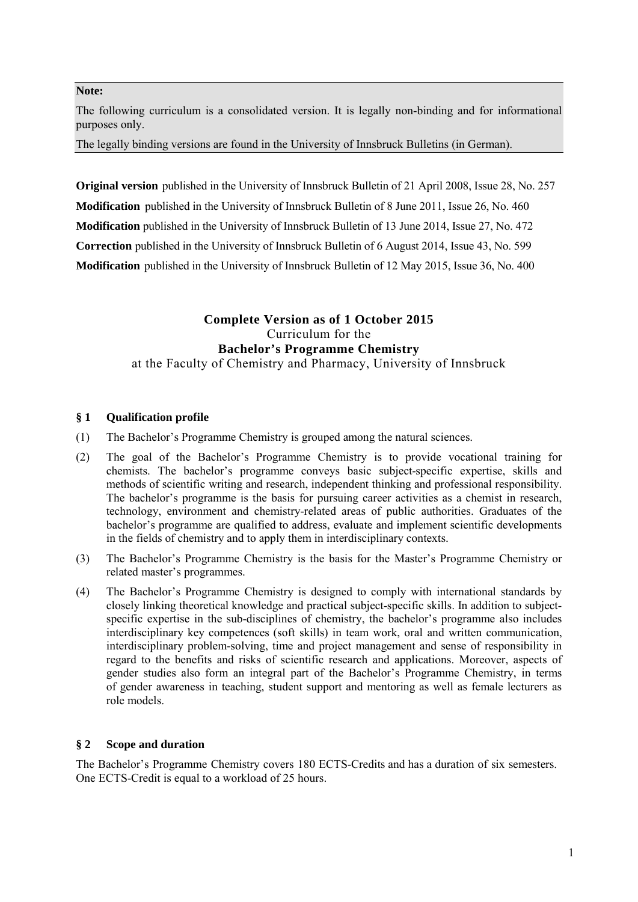### **Note:**

The following curriculum is a consolidated version. It is legally non-binding and for informational purposes only.

The legally binding versions are found in the University of Innsbruck Bulletins (in German).

**Original version** published in the University of Innsbruck Bulletin of 21 April 2008, Issue 28, No. 257 **Modification** published in the University of Innsbruck Bulletin of 8 June 2011, Issue 26, No. 460 **Modification** published in the University of Innsbruck Bulletin of 13 June 2014, Issue 27, No. 472 **Correction** published in the University of Innsbruck Bulletin of 6 August 2014, Issue 43, No. 599 **Modification** published in the University of Innsbruck Bulletin of 12 May 2015, Issue 36, No. 400

## **Complete Version as of 1 October 2015**  Curriculum for the **Bachelor's Programme Chemistry**

at the Faculty of Chemistry and Pharmacy, University of Innsbruck

## **§ 1 Qualification profile**

- (1) The Bachelor's Programme Chemistry is grouped among the natural sciences.
- (2) The goal of the Bachelor's Programme Chemistry is to provide vocational training for chemists. The bachelor's programme conveys basic subject-specific expertise, skills and methods of scientific writing and research, independent thinking and professional responsibility. The bachelor's programme is the basis for pursuing career activities as a chemist in research, technology, environment and chemistry-related areas of public authorities. Graduates of the bachelor's programme are qualified to address, evaluate and implement scientific developments in the fields of chemistry and to apply them in interdisciplinary contexts.
- (3) The Bachelor's Programme Chemistry is the basis for the Master's Programme Chemistry or related master's programmes.
- (4) The Bachelor's Programme Chemistry is designed to comply with international standards by closely linking theoretical knowledge and practical subject-specific skills. In addition to subjectspecific expertise in the sub-disciplines of chemistry, the bachelor's programme also includes interdisciplinary key competences (soft skills) in team work, oral and written communication, interdisciplinary problem-solving, time and project management and sense of responsibility in regard to the benefits and risks of scientific research and applications. Moreover, aspects of gender studies also form an integral part of the Bachelor's Programme Chemistry, in terms of gender awareness in teaching, student support and mentoring as well as female lecturers as role models.

## **§ 2 Scope and duration**

The Bachelor's Programme Chemistry covers 180 ECTS-Credits and has a duration of six semesters. One ECTS-Credit is equal to a workload of 25 hours.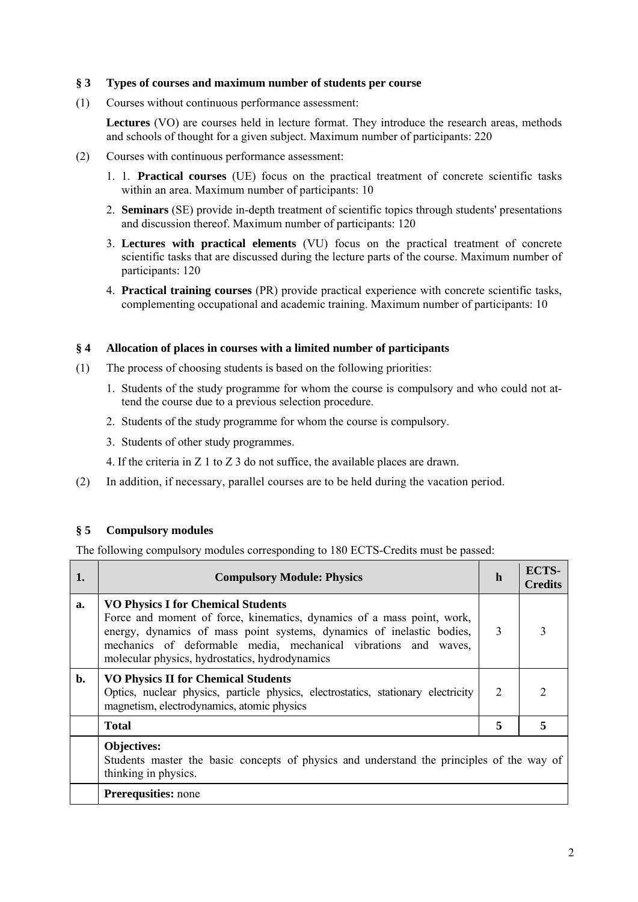### **§ 3 Types of courses and maximum number of students per course**

(1) Courses without continuous performance assessment:

**Lectures** (VO) are courses held in lecture format. They introduce the research areas, methods and schools of thought for a given subject. Maximum number of participants: 220

- (2) Courses with continuous performance assessment:
	- 1. 1. **Practical courses** (UE) focus on the practical treatment of concrete scientific tasks within an area. Maximum number of participants: 10
	- 2. **Seminars** (SE) provide in-depth treatment of scientific topics through students' presentations and discussion thereof. Maximum number of participants: 120
	- 3. **Lectures with practical elements** (VU) focus on the practical treatment of concrete scientific tasks that are discussed during the lecture parts of the course. Maximum number of participants: 120
	- 4. **Practical training courses** (PR) provide practical experience with concrete scientific tasks, complementing occupational and academic training. Maximum number of participants: 10

### **§ 4 Allocation of places in courses with a limited number of participants**

- (1) The process of choosing students is based on the following priorities:
	- 1. Students of the study programme for whom the course is compulsory and who could not attend the course due to a previous selection procedure.
	- 2. Students of the study programme for whom the course is compulsory.
	- 3. Students of other study programmes.
	- 4. If the criteria in Z 1 to Z 3 do not suffice, the available places are drawn.
- (2) In addition, if necessary, parallel courses are to be held during the vacation period.

## **§ 5 Compulsory modules**

The following compulsory modules corresponding to 180 ECTS-Credits must be passed:

| 1. | <b>Compulsory Module: Physics</b>                                                                                                                                                                                                                                                                                 | h                           | ECTS-<br><b>Credits</b> |
|----|-------------------------------------------------------------------------------------------------------------------------------------------------------------------------------------------------------------------------------------------------------------------------------------------------------------------|-----------------------------|-------------------------|
| a. | <b>VO Physics I for Chemical Students</b><br>Force and moment of force, kinematics, dynamics of a mass point, work,<br>energy, dynamics of mass point systems, dynamics of inelastic bodies,<br>mechanics of deformable media, mechanical vibrations and waves,<br>molecular physics, hydrostatics, hydrodynamics | 3                           | 3                       |
| b. | <b>VO Physics II for Chemical Students</b><br>Optics, nuclear physics, particle physics, electrostatics, stationary electricity<br>magnetism, electrodynamics, atomic physics                                                                                                                                     | $\mathcal{D}_{\mathcal{L}}$ | $\mathcal{L}$           |
|    | <b>Total</b>                                                                                                                                                                                                                                                                                                      | 5                           | 5                       |
|    | <b>Objectives:</b><br>Students master the basic concepts of physics and understand the principles of the way of<br>thinking in physics.                                                                                                                                                                           |                             |                         |
|    | <b>Prerequsities:</b> none                                                                                                                                                                                                                                                                                        |                             |                         |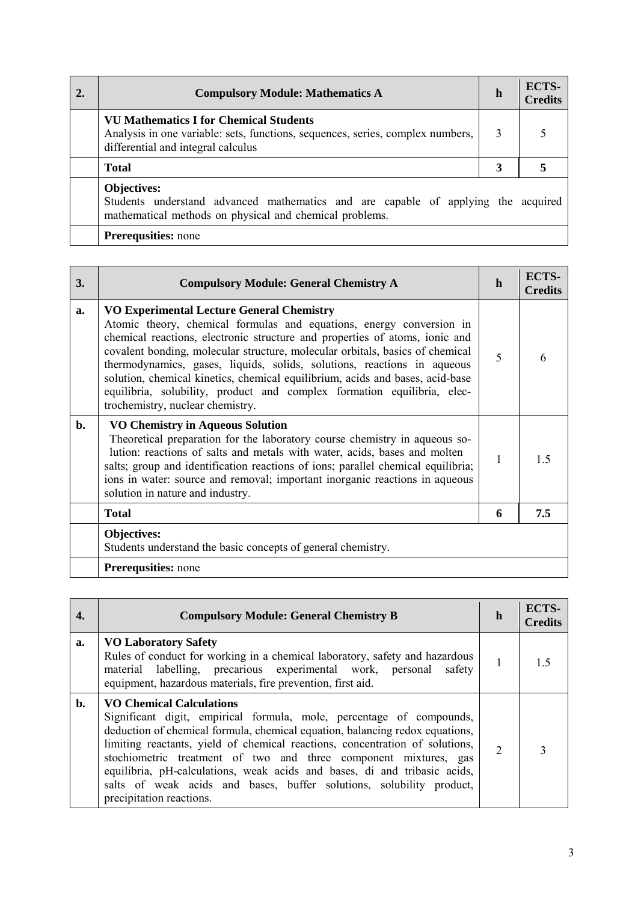| <b>Compulsory Module: Mathematics A</b>                                                                                                                               | h | ECTS-<br><b>Credits</b> |
|-----------------------------------------------------------------------------------------------------------------------------------------------------------------------|---|-------------------------|
| <b>VU Mathematics I for Chemical Students</b><br>Analysis in one variable: sets, functions, sequences, series, complex numbers,<br>differential and integral calculus | 3 |                         |
| <b>Total</b>                                                                                                                                                          | 3 |                         |
| <b>Objectives:</b><br>Students understand advanced mathematics and are capable of applying the acquired<br>mathematical methods on physical and chemical problems.    |   |                         |
| <b>Prerequsities:</b> none                                                                                                                                            |   |                         |

| 3. | <b>Compulsory Module: General Chemistry A</b>                                                                                                                                                                                                                                                                                                                                                                                                                                                                                                                       | h | ECTS-<br><b>Credits</b> |
|----|---------------------------------------------------------------------------------------------------------------------------------------------------------------------------------------------------------------------------------------------------------------------------------------------------------------------------------------------------------------------------------------------------------------------------------------------------------------------------------------------------------------------------------------------------------------------|---|-------------------------|
| a. | <b>VO Experimental Lecture General Chemistry</b><br>Atomic theory, chemical formulas and equations, energy conversion in<br>chemical reactions, electronic structure and properties of atoms, ionic and<br>covalent bonding, molecular structure, molecular orbitals, basics of chemical<br>thermodynamics, gases, liquids, solids, solutions, reactions in aqueous<br>solution, chemical kinetics, chemical equilibrium, acids and bases, acid-base<br>equilibria, solubility, product and complex formation equilibria, elec-<br>trochemistry, nuclear chemistry. | 5 | 6                       |
| b. | <b>VO Chemistry in Aqueous Solution</b><br>Theoretical preparation for the laboratory course chemistry in aqueous so-<br>lution: reactions of salts and metals with water, acids, bases and molten<br>salts; group and identification reactions of ions; parallel chemical equilibria;<br>ions in water: source and removal; important inorganic reactions in aqueous<br>solution in nature and industry.                                                                                                                                                           | 1 | 1 <sub>5</sub>          |
|    | <b>Total</b>                                                                                                                                                                                                                                                                                                                                                                                                                                                                                                                                                        | 6 | 7.5                     |
|    | Objectives:<br>Students understand the basic concepts of general chemistry.                                                                                                                                                                                                                                                                                                                                                                                                                                                                                         |   |                         |
|    | <b>Prerequsities:</b> none                                                                                                                                                                                                                                                                                                                                                                                                                                                                                                                                          |   |                         |

| 4. | <b>Compulsory Module: General Chemistry B</b>                                                                                                                                                                                                                                                                                                                                                                                                                                                                                | h                           | <b>ECTS-</b><br><b>Credits</b> |
|----|------------------------------------------------------------------------------------------------------------------------------------------------------------------------------------------------------------------------------------------------------------------------------------------------------------------------------------------------------------------------------------------------------------------------------------------------------------------------------------------------------------------------------|-----------------------------|--------------------------------|
| a. | <b>VO Laboratory Safety</b><br>Rules of conduct for working in a chemical laboratory, safety and hazardous<br>material labelling, precarious experimental work, personal<br>safety<br>equipment, hazardous materials, fire prevention, first aid.                                                                                                                                                                                                                                                                            | I.                          | 15                             |
| b. | <b>VO Chemical Calculations</b><br>Significant digit, empirical formula, mole, percentage of compounds,<br>deduction of chemical formula, chemical equation, balancing redox equations,<br>limiting reactants, yield of chemical reactions, concentration of solutions,<br>stochiometric treatment of two and three component mixtures, gas<br>equilibria, pH-calculations, weak acids and bases, di and tribasic acids,<br>salts of weak acids and bases, buffer solutions, solubility product,<br>precipitation reactions. | $\mathcal{D}_{\mathcal{A}}$ |                                |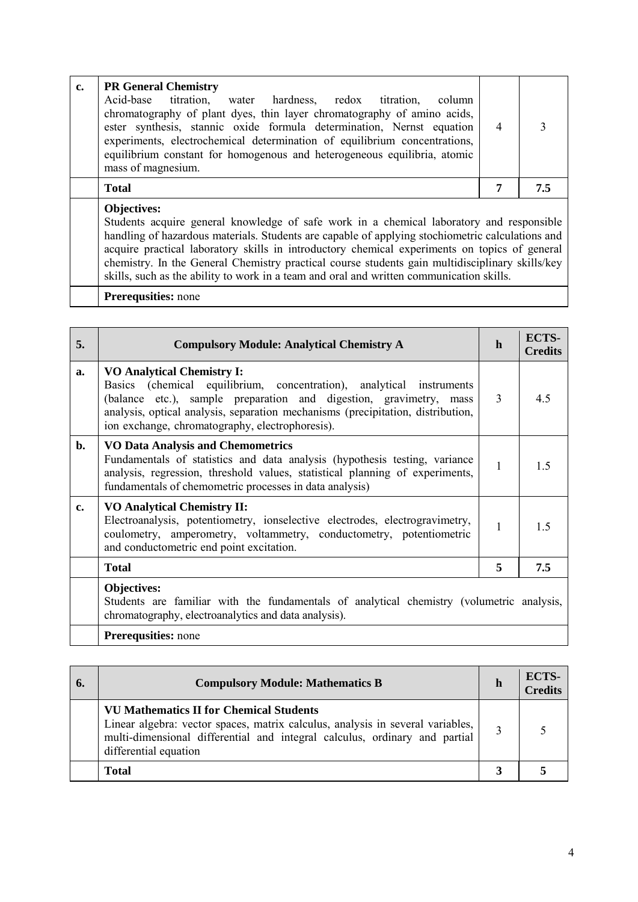| c. | <b>PR General Chemistry</b><br>Acid-base<br>titration,<br>water hardness, redox<br>titration.<br>column<br>chromatography of plant dyes, thin layer chromatography of amino acids,<br>ester synthesis, stannic oxide formula determination, Nernst equation<br>experiments, electrochemical determination of equilibrium concentrations,<br>equilibrium constant for homogenous and heterogeneous equilibria, atomic<br>mass of magnesium. | $\overline{4}$ |     |
|----|--------------------------------------------------------------------------------------------------------------------------------------------------------------------------------------------------------------------------------------------------------------------------------------------------------------------------------------------------------------------------------------------------------------------------------------------|----------------|-----|
|    | <b>Total</b>                                                                                                                                                                                                                                                                                                                                                                                                                               | 7              | 7.5 |
|    | <b>Objectives:</b><br>Students acquire general knowledge of safe work in a chemical laboratory and responsible<br>handling of hazardous materials. Students are capable of applying stochiometric calculations and<br>acquire practical laboratory skills in introductory chemical experiments on topics of general<br>chemistry. In the General Chemistry practical course students gain multidisciplinary skills/key                     |                |     |

chemistry. In the General Chemistry practical course students gain multidisciplinary skills/key skills, such as the ability to work in a team and oral and written communication skills.

| 5.            | <b>Compulsory Module: Analytical Chemistry A</b>                                                                                                                                                                                                                                                                      | $\mathbf h$ | ECTS-<br><b>Credits</b> |
|---------------|-----------------------------------------------------------------------------------------------------------------------------------------------------------------------------------------------------------------------------------------------------------------------------------------------------------------------|-------------|-------------------------|
| a.            | <b>VO Analytical Chemistry I:</b><br>Basics (chemical equilibrium, concentration), analytical instruments<br>(balance etc.), sample preparation and digestion, gravimetry, mass<br>analysis, optical analysis, separation mechanisms (precipitation, distribution,<br>ion exchange, chromatography, electrophoresis). | 3           | 4.5                     |
| b.            | <b>VO Data Analysis and Chemometrics</b><br>Fundamentals of statistics and data analysis (hypothesis testing, variance<br>analysis, regression, threshold values, statistical planning of experiments,<br>fundamentals of chemometric processes in data analysis)                                                     | 1           | 1.5                     |
| $c_{\bullet}$ | <b>VO Analytical Chemistry II:</b><br>Electroanalysis, potentiometry, ionselective electrodes, electrogravimetry,<br>coulometry, amperometry, voltammetry, conductometry, potentiometric<br>and conductometric end point excitation.                                                                                  | 1           | 1.5                     |
|               | <b>Total</b>                                                                                                                                                                                                                                                                                                          | 5           | 7.5                     |
|               | Objectives:<br>Students are familiar with the fundamentals of analytical chemistry (volumetric analysis,<br>chromatography, electroanalytics and data analysis).                                                                                                                                                      |             |                         |
|               | Prerequsities: none                                                                                                                                                                                                                                                                                                   |             |                         |

| 6. | <b>Compulsory Module: Mathematics B</b>                                                                                                                                                                                                 | h                 | ECTS-<br><b>Credits</b> |
|----|-----------------------------------------------------------------------------------------------------------------------------------------------------------------------------------------------------------------------------------------|-------------------|-------------------------|
|    | <b>VU Mathematics II for Chemical Students</b><br>Linear algebra: vector spaces, matrix calculus, analysis in several variables,<br>multi-dimensional differential and integral calculus, ordinary and partial<br>differential equation | $\mathbf{\Omega}$ |                         |
|    | <b>Total</b>                                                                                                                                                                                                                            |                   |                         |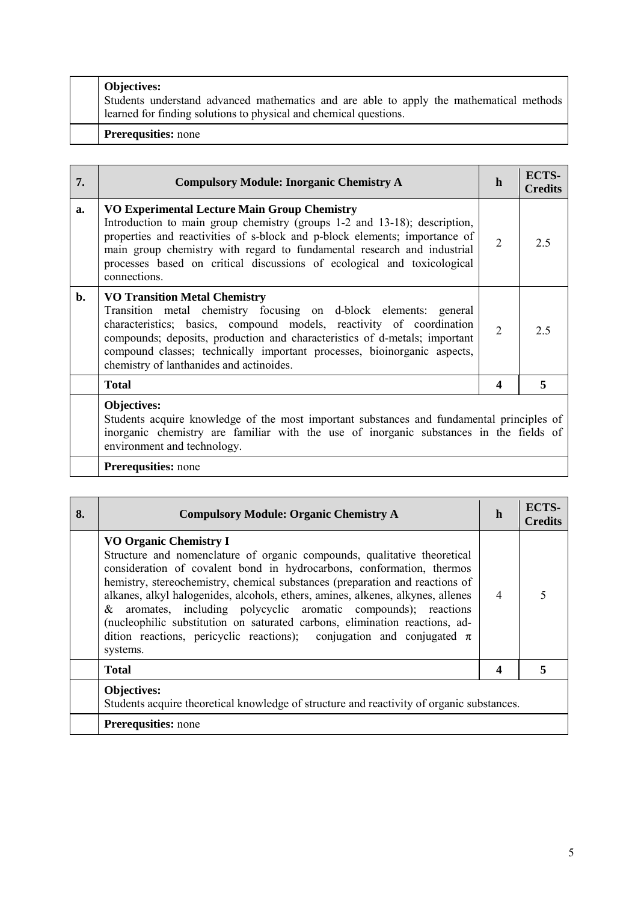| <b>Objectives:</b><br>Students understand advanced mathematics and are able to apply the mathematical methods<br>learned for finding solutions to physical and chemical questions. |
|------------------------------------------------------------------------------------------------------------------------------------------------------------------------------------|
| <b>Prerequsities:</b> none                                                                                                                                                         |

| 7.             | <b>Compulsory Module: Inorganic Chemistry A</b>                                                                                                                                                                                                                                                                                                                                        | h              | <b>ECTS-</b><br><b>Credits</b> |
|----------------|----------------------------------------------------------------------------------------------------------------------------------------------------------------------------------------------------------------------------------------------------------------------------------------------------------------------------------------------------------------------------------------|----------------|--------------------------------|
| a.             | <b>VO Experimental Lecture Main Group Chemistry</b><br>Introduction to main group chemistry (groups 1-2 and 13-18); description,<br>properties and reactivities of s-block and p-block elements; importance of<br>main group chemistry with regard to fundamental research and industrial<br>processes based on critical discussions of ecological and toxicological<br>connections.   | $\overline{2}$ | 2.5                            |
| $\mathbf{b}$ . | <b>VO Transition Metal Chemistry</b><br>Transition metal chemistry focusing on d-block elements: general<br>characteristics; basics, compound models, reactivity of coordination<br>compounds; deposits, production and characteristics of d-metals; important<br>compound classes; technically important processes, bioinorganic aspects,<br>chemistry of lanthanides and actinoides. | $\overline{2}$ | 2.5                            |
|                | <b>Total</b>                                                                                                                                                                                                                                                                                                                                                                           | 4              | 5                              |
|                | Objectives:<br>Students acquire knowledge of the most important substances and fundamental principles of<br>inorganic chemistry are familiar with the use of inorganic substances in the fields of<br>environment and technology.                                                                                                                                                      |                |                                |
|                | <b>Prerequsities:</b> none                                                                                                                                                                                                                                                                                                                                                             |                |                                |

| 8. | <b>Compulsory Module: Organic Chemistry A</b>                                                                                                                                                                                                                                                                                                                                                                                                                                                                                                                                                       | h              | <b>ECTS-</b><br><b>Credits</b> |
|----|-----------------------------------------------------------------------------------------------------------------------------------------------------------------------------------------------------------------------------------------------------------------------------------------------------------------------------------------------------------------------------------------------------------------------------------------------------------------------------------------------------------------------------------------------------------------------------------------------------|----------------|--------------------------------|
|    | <b>VO Organic Chemistry I</b><br>Structure and nomenclature of organic compounds, qualitative theoretical<br>consideration of covalent bond in hydrocarbons, conformation, thermos<br>hemistry, stereochemistry, chemical substances (preparation and reactions of<br>alkanes, alkyl halogenides, alcohols, ethers, amines, alkenes, alkynes, allenes<br>aromates, including polycyclic aromatic compounds); reactions<br>&<br>(nucleophilic substitution on saturated carbons, elimination reactions, ad-<br>dition reactions, pericyclic reactions); conjugation and conjugated $\pi$<br>systems. | $\overline{4}$ |                                |
|    | <b>Total</b>                                                                                                                                                                                                                                                                                                                                                                                                                                                                                                                                                                                        | 4              | 5                              |
|    | Objectives:<br>Students acquire theoretical knowledge of structure and reactivity of organic substances.                                                                                                                                                                                                                                                                                                                                                                                                                                                                                            |                |                                |
|    | <b>Prerequsities:</b> none                                                                                                                                                                                                                                                                                                                                                                                                                                                                                                                                                                          |                |                                |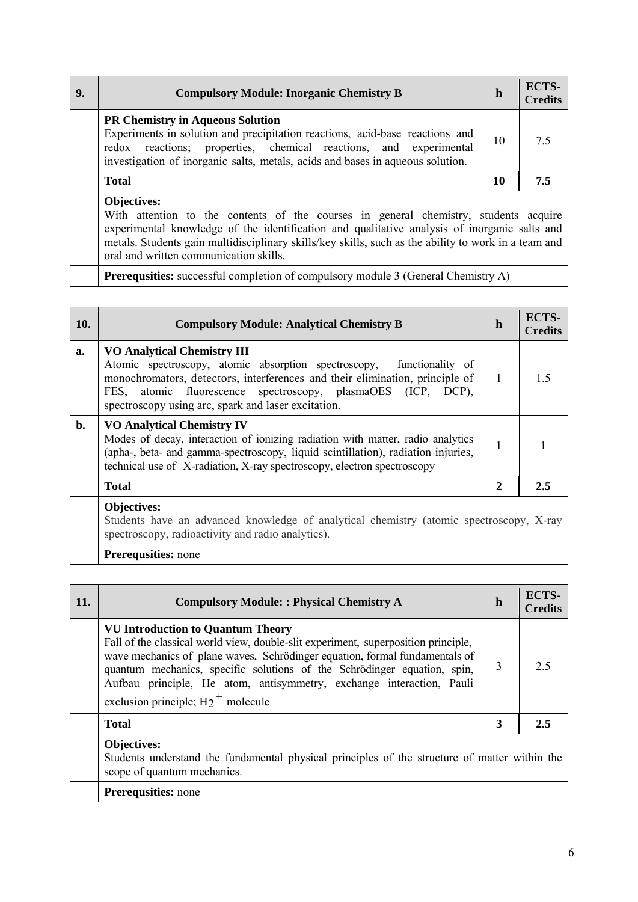| 9. | <b>Compulsory Module: Inorganic Chemistry B</b>                                                                                                                                                                                                                                                                    | h  | ECTS-<br><b>Credits</b> |
|----|--------------------------------------------------------------------------------------------------------------------------------------------------------------------------------------------------------------------------------------------------------------------------------------------------------------------|----|-------------------------|
|    | <b>PR Chemistry in Aqueous Solution</b><br>Experiments in solution and precipitation reactions, acid-base reactions and<br>redox reactions; properties, chemical reactions, and experimental<br>investigation of inorganic salts, metals, acids and bases in aqueous solution.                                     | 10 | 75                      |
|    | <b>Total</b>                                                                                                                                                                                                                                                                                                       | 10 | 7.5                     |
|    | <b>Objectives:</b><br>With attention to the contents of the courses in general chemistry, students acquire<br>experimental knowledge of the identification and qualitative analysis of inorganic salts and<br>metals. Students gain multidisciplinary skills/key skills, such as the ability to work in a team and |    |                         |

oral and written communication skills.

**Prerequsities:** successful completion of compulsory module 3 (General Chemistry A)

| <b>10.</b> | <b>Compulsory Module: Analytical Chemistry B</b>                                                                                                                                                                                                                                                                   | h | ECTS-<br><b>Credits</b> |
|------------|--------------------------------------------------------------------------------------------------------------------------------------------------------------------------------------------------------------------------------------------------------------------------------------------------------------------|---|-------------------------|
| a.         | <b>VO Analytical Chemistry III</b><br>Atomic spectroscopy, atomic absorption spectroscopy, functionality of<br>monochromators, detectors, interferences and their elimination, principle of<br>FES, atomic fluorescence spectroscopy, plasmaOES (ICP, DCP),<br>spectroscopy using arc, spark and laser excitation. | 1 | 15                      |
| $b$ .      | <b>VO Analytical Chemistry IV</b><br>Modes of decay, interaction of ionizing radiation with matter, radio analytics<br>(apha-, beta- and gamma-spectroscopy, liquid scintillation), radiation injuries,<br>technical use of X-radiation, X-ray spectroscopy, electron spectroscopy                                 | 1 |                         |
|            | <b>Total</b>                                                                                                                                                                                                                                                                                                       | 2 | 2.5                     |
|            | Objectives:<br>Students have an advanced knowledge of analytical chemistry (atomic spectroscopy, X-ray<br>spectroscopy, radioactivity and radio analytics).                                                                                                                                                        |   |                         |

| 11. | <b>Compulsory Module:: Physical Chemistry A</b>                                                                                                                                                                                                                                                                                                                                                            | h | ECTS-<br><b>Credits</b> |
|-----|------------------------------------------------------------------------------------------------------------------------------------------------------------------------------------------------------------------------------------------------------------------------------------------------------------------------------------------------------------------------------------------------------------|---|-------------------------|
|     | <b>VU Introduction to Quantum Theory</b><br>Fall of the classical world view, double-slit experiment, superposition principle,<br>wave mechanics of plane waves, Schrödinger equation, formal fundamentals of<br>quantum mechanics, specific solutions of the Schrödinger equation, spin,<br>Aufbau principle, He atom, antisymmetry, exchange interaction, Pauli<br>exclusion principle; $H_2^+$ molecule | 3 | 2.5                     |
|     | <b>Total</b>                                                                                                                                                                                                                                                                                                                                                                                               | 3 | 2.5                     |
|     | <b>Objectives:</b><br>Students understand the fundamental physical principles of the structure of matter within the<br>scope of quantum mechanics.                                                                                                                                                                                                                                                         |   |                         |
|     | <b>Prerequsities:</b> none                                                                                                                                                                                                                                                                                                                                                                                 |   |                         |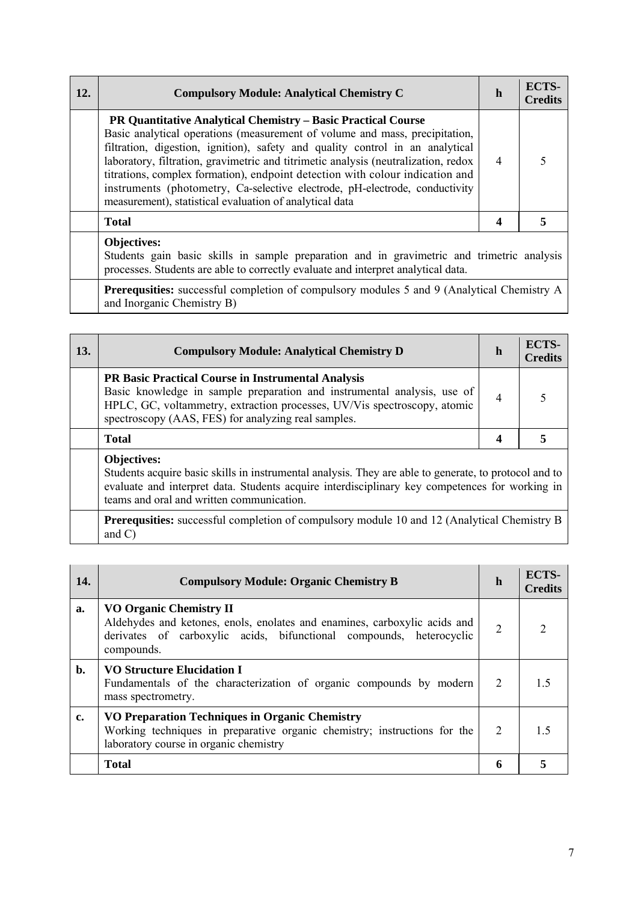| <b>12.</b> | <b>Compulsory Module: Analytical Chemistry C</b>                                                                                                                                                                                                                                                                                                                                                                                                                                                                                                      | $\mathbf h$    | <b>ECTS-</b><br><b>Credits</b> |
|------------|-------------------------------------------------------------------------------------------------------------------------------------------------------------------------------------------------------------------------------------------------------------------------------------------------------------------------------------------------------------------------------------------------------------------------------------------------------------------------------------------------------------------------------------------------------|----------------|--------------------------------|
|            | <b>PR Quantitative Analytical Chemistry – Basic Practical Course</b><br>Basic analytical operations (measurement of volume and mass, precipitation,<br>filtration, digestion, ignition), safety and quality control in an analytical<br>laboratory, filtration, gravimetric and titrimetic analysis (neutralization, redox<br>titrations, complex formation), endpoint detection with colour indication and<br>instruments (photometry, Ca-selective electrode, pH-electrode, conductivity<br>measurement), statistical evaluation of analytical data | $\overline{4}$ |                                |
|            | <b>Total</b>                                                                                                                                                                                                                                                                                                                                                                                                                                                                                                                                          | 4              |                                |
|            | <b>Objectives:</b><br>Students gain basic skills in sample preparation and in gravimetric and trimetric analysis                                                                                                                                                                                                                                                                                                                                                                                                                                      |                |                                |

processes. Students are able to correctly evaluate and interpret analytical data.

Prerequsities: successful completion of compulsory modules 5 and 9 (Analytical Chemistry A and Inorganic Chemistry B)

| <b>13.</b> | <b>Compulsory Module: Analytical Chemistry D</b>                                                                                                                                                                                                                           | $\mathbf h$ | ECTS-<br><b>Credits</b> |
|------------|----------------------------------------------------------------------------------------------------------------------------------------------------------------------------------------------------------------------------------------------------------------------------|-------------|-------------------------|
|            | <b>PR Basic Practical Course in Instrumental Analysis</b><br>Basic knowledge in sample preparation and instrumental analysis, use of<br>HPLC, GC, voltammetry, extraction processes, UV/Vis spectroscopy, atomic<br>spectroscopy (AAS, FES) for analyzing real samples.    | 4           |                         |
|            | <b>Total</b>                                                                                                                                                                                                                                                               | 4           |                         |
|            | <b>Objectives:</b><br>Students acquire basic skills in instrumental analysis. They are able to generate, to protocol and to<br>evaluate and interpret data. Students acquire interdisciplinary key competences for working in<br>teams and oral and written communication. |             |                         |

**Prerequsities:** successful completion of compulsory module 10 and 12 (Analytical Chemistry B and C)

| 14.            | <b>Compulsory Module: Organic Chemistry B</b>                                                                                                                                                    | h | <b>ECTS-</b><br><b>Credits</b> |
|----------------|--------------------------------------------------------------------------------------------------------------------------------------------------------------------------------------------------|---|--------------------------------|
| a.             | <b>VO Organic Chemistry II</b><br>Aldehydes and ketones, enols, enolates and enamines, carboxylic acids and<br>derivates of carboxylic acids, bifunctional compounds, heterocyclic<br>compounds. | 2 | $\mathcal{D}_{\mathcal{L}}$    |
| $\mathbf{b}$ . | <b>VO Structure Elucidation I</b><br>Fundamentals of the characterization of organic compounds by modern<br>mass spectrometry.                                                                   | 2 | 1.5                            |
| c.             | VO Preparation Techniques in Organic Chemistry<br>Working techniques in preparative organic chemistry; instructions for the<br>laboratory course in organic chemistry                            | 2 | 1.5                            |
|                | <b>Total</b>                                                                                                                                                                                     | 6 |                                |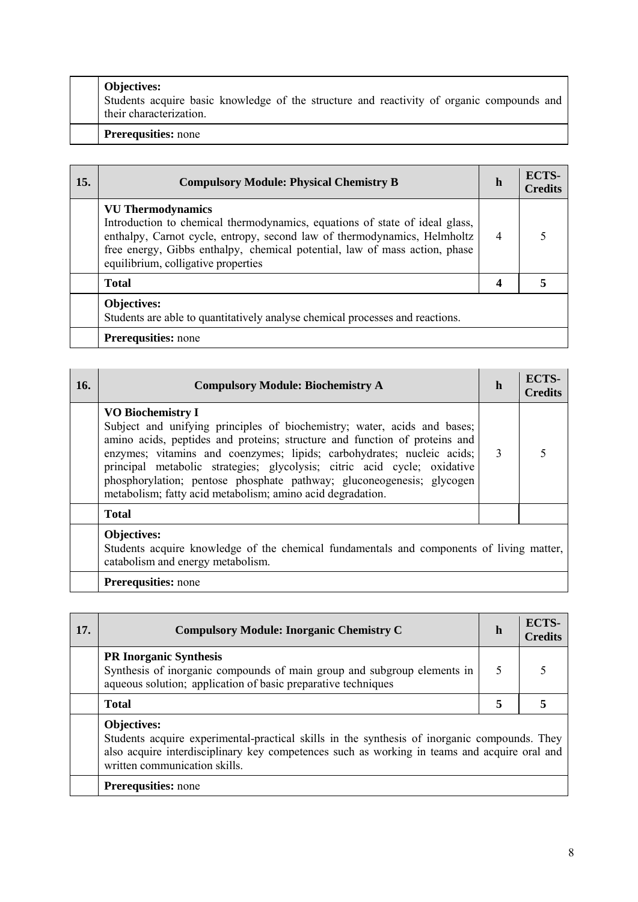| <b>Objectives:</b><br>Students acquire basic knowledge of the structure and reactivity of organic compounds and<br>their characterization. |
|--------------------------------------------------------------------------------------------------------------------------------------------|
| <b>Prerequsities:</b> none                                                                                                                 |

| 15. | <b>Compulsory Module: Physical Chemistry B</b>                                                                                                                                                                                                                                                           | h              | <b>ECTS-</b><br><b>Credits</b> |
|-----|----------------------------------------------------------------------------------------------------------------------------------------------------------------------------------------------------------------------------------------------------------------------------------------------------------|----------------|--------------------------------|
|     | <b>VU</b> Thermodynamics<br>Introduction to chemical thermodynamics, equations of state of ideal glass,<br>enthalpy, Carnot cycle, entropy, second law of thermodynamics, Helmholtz<br>free energy, Gibbs enthalpy, chemical potential, law of mass action, phase<br>equilibrium, colligative properties | $\overline{4}$ |                                |
|     | <b>Total</b>                                                                                                                                                                                                                                                                                             | 4              |                                |
|     | <b>Objectives:</b><br>Students are able to quantitatively analyse chemical processes and reactions.                                                                                                                                                                                                      |                |                                |
|     | <b>Prerequsities:</b> none                                                                                                                                                                                                                                                                               |                |                                |

| 16. | <b>Compulsory Module: Biochemistry A</b>                                                                                                                                                                                                                                                                                                                                                                                                                                          | h | <b>ECTS-</b><br><b>Credits</b> |
|-----|-----------------------------------------------------------------------------------------------------------------------------------------------------------------------------------------------------------------------------------------------------------------------------------------------------------------------------------------------------------------------------------------------------------------------------------------------------------------------------------|---|--------------------------------|
|     | <b>VO Biochemistry I</b><br>Subject and unifying principles of biochemistry; water, acids and bases;<br>amino acids, peptides and proteins; structure and function of proteins and<br>enzymes; vitamins and coenzymes; lipids; carbohydrates; nucleic acids;  <br>principal metabolic strategies; glycolysis; citric acid cycle; oxidative<br>phosphorylation; pentose phosphate pathway; gluconeogenesis; glycogen<br>metabolism; fatty acid metabolism; amino acid degradation. | 3 |                                |
|     | <b>Total</b>                                                                                                                                                                                                                                                                                                                                                                                                                                                                      |   |                                |
|     | <b>Objectives:</b><br>Students acquire knowledge of the chemical fundamentals and components of living matter,<br>catabolism and energy metabolism.                                                                                                                                                                                                                                                                                                                               |   |                                |
|     | <b>Prerequsities:</b> none                                                                                                                                                                                                                                                                                                                                                                                                                                                        |   |                                |

| 17. | <b>Compulsory Module: Inorganic Chemistry C</b>                                                                                                                                                                                                     | h | ECTS-<br><b>Credits</b> |
|-----|-----------------------------------------------------------------------------------------------------------------------------------------------------------------------------------------------------------------------------------------------------|---|-------------------------|
|     | <b>PR Inorganic Synthesis</b><br>Synthesis of inorganic compounds of main group and subgroup elements in<br>aqueous solution; application of basic preparative techniques                                                                           |   |                         |
|     | <b>Total</b>                                                                                                                                                                                                                                        | 5 |                         |
|     | <b>Objectives:</b><br>Students acquire experimental-practical skills in the synthesis of inorganic compounds. They<br>also acquire interdisciplinary key competences such as working in teams and acquire oral and<br>written communication skills. |   |                         |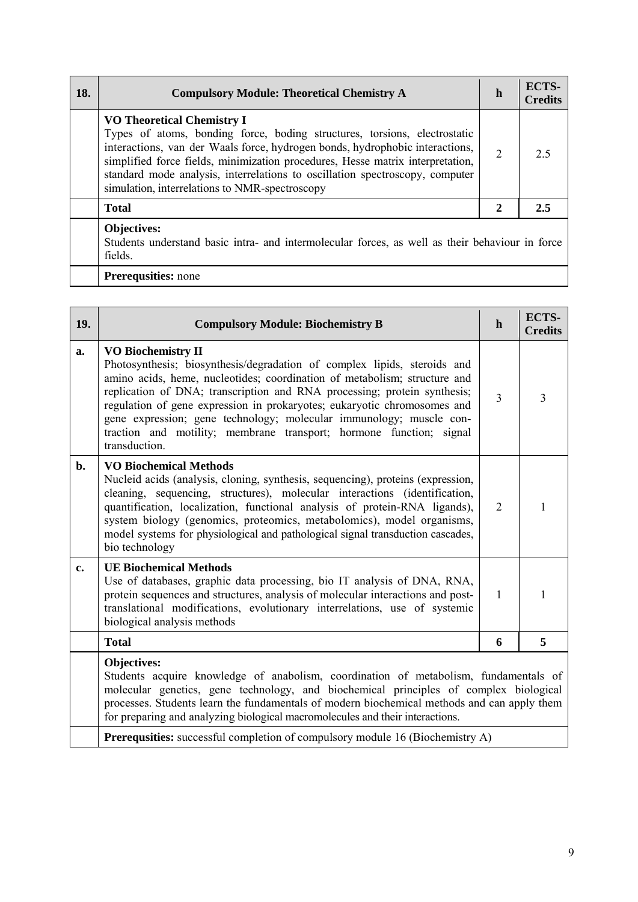| 18. | <b>Compulsory Module: Theoretical Chemistry A</b>                                                                                                                                                                                                                                                                                                                                                                  | h              | ECTS-<br><b>Credits</b> |
|-----|--------------------------------------------------------------------------------------------------------------------------------------------------------------------------------------------------------------------------------------------------------------------------------------------------------------------------------------------------------------------------------------------------------------------|----------------|-------------------------|
|     | <b>VO Theoretical Chemistry I</b><br>Types of atoms, bonding force, boding structures, torsions, electrostatic<br>interactions, van der Waals force, hydrogen bonds, hydrophobic interactions,<br>simplified force fields, minimization procedures, Hesse matrix interpretation,<br>standard mode analysis, interrelations to oscillation spectroscopy, computer<br>simulation, interrelations to NMR-spectroscopy | $\overline{2}$ | 25                      |
|     | <b>Total</b>                                                                                                                                                                                                                                                                                                                                                                                                       | $\overline{2}$ | 2.5                     |
|     | Objectives:<br>Students understand basic intra- and intermolecular forces, as well as their behaviour in force<br>fields.                                                                                                                                                                                                                                                                                          |                |                         |
|     | <b>Prerequsities:</b> none                                                                                                                                                                                                                                                                                                                                                                                         |                |                         |

| 19.   | <b>Compulsory Module: Biochemistry B</b>                                                                                                                                                                                                                                                                                                                                                                                                                                                                  | $\mathbf h$    | ECTS-<br><b>Credits</b> |
|-------|-----------------------------------------------------------------------------------------------------------------------------------------------------------------------------------------------------------------------------------------------------------------------------------------------------------------------------------------------------------------------------------------------------------------------------------------------------------------------------------------------------------|----------------|-------------------------|
| a.    | <b>VO Biochemistry II</b><br>Photosynthesis; biosynthesis/degradation of complex lipids, steroids and<br>amino acids, heme, nucleotides; coordination of metabolism; structure and<br>replication of DNA; transcription and RNA processing; protein synthesis;<br>regulation of gene expression in prokaryotes; eukaryotic chromosomes and<br>gene expression; gene technology; molecular immunology; muscle con-<br>traction and motility; membrane transport; hormone function; signal<br>transduction. | $\overline{3}$ | $\overline{3}$          |
| $b$ . | <b>VO Biochemical Methods</b><br>Nucleid acids (analysis, cloning, synthesis, sequencing), proteins (expression,<br>cleaning, sequencing, structures), molecular interactions (identification,<br>quantification, localization, functional analysis of protein-RNA ligands),<br>system biology (genomics, proteomics, metabolomics), model organisms,<br>model systems for physiological and pathological signal transduction cascades,<br>bio technology                                                 | $\overline{2}$ | 1                       |
| c.    | <b>UE Biochemical Methods</b><br>Use of databases, graphic data processing, bio IT analysis of DNA, RNA,<br>protein sequences and structures, analysis of molecular interactions and post-<br>translational modifications, evolutionary interrelations, use of systemic<br>biological analysis methods                                                                                                                                                                                                    | 1              | 1                       |
|       | <b>Total</b>                                                                                                                                                                                                                                                                                                                                                                                                                                                                                              | 6              | 5                       |
|       | <b>Objectives:</b><br>Students acquire knowledge of anabolism, coordination of metabolism, fundamentals of<br>molecular genetics, gene technology, and biochemical principles of complex biological<br>processes. Students learn the fundamentals of modern biochemical methods and can apply them<br>for preparing and analyzing biological macromolecules and their interactions.                                                                                                                       |                |                         |
|       | <b>Prerequsities:</b> successful completion of compulsory module 16 (Biochemistry A)                                                                                                                                                                                                                                                                                                                                                                                                                      |                |                         |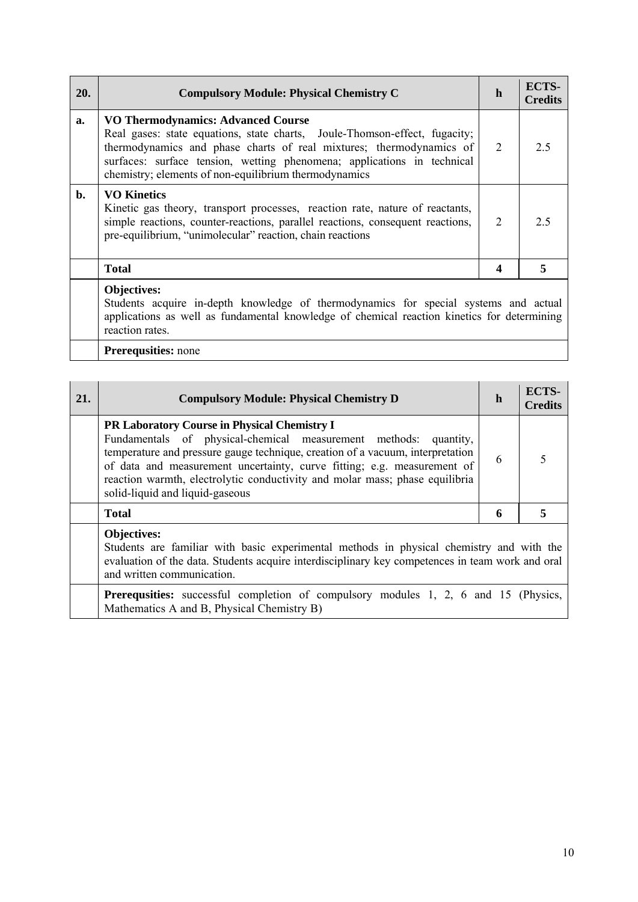| <b>20.</b> | <b>Compulsory Module: Physical Chemistry C</b>                                                                                                                                                                                                                                                                                     | h              | ECTS-<br><b>Credits</b> |
|------------|------------------------------------------------------------------------------------------------------------------------------------------------------------------------------------------------------------------------------------------------------------------------------------------------------------------------------------|----------------|-------------------------|
| a.         | <b>VO Thermodynamics: Advanced Course</b><br>Real gases: state equations, state charts, Joule-Thomson-effect, fugacity;<br>thermodynamics and phase charts of real mixtures; thermodynamics of<br>surfaces: surface tension, wetting phenomena; applications in technical<br>chemistry; elements of non-equilibrium thermodynamics | 2              | 2.5                     |
| b.         | <b>VO Kinetics</b><br>Kinetic gas theory, transport processes, reaction rate, nature of reactants,<br>simple reactions, counter-reactions, parallel reactions, consequent reactions,<br>pre-equilibrium, "unimolecular" reaction, chain reactions                                                                                  | $\overline{2}$ | 2.5                     |
|            | <b>Total</b>                                                                                                                                                                                                                                                                                                                       |                | 5                       |
|            | Objectives:                                                                                                                                                                                                                                                                                                                        |                |                         |

Students acquire in-depth knowledge of thermodynamics for special systems and actual applications as well as fundamental knowledge of chemical reaction kinetics for determining reaction rates.

| 21. | <b>Compulsory Module: Physical Chemistry D</b>                                                                                                                                                                                                                                                                                                                                                            | h | ECTS-<br><b>Credits</b> |
|-----|-----------------------------------------------------------------------------------------------------------------------------------------------------------------------------------------------------------------------------------------------------------------------------------------------------------------------------------------------------------------------------------------------------------|---|-------------------------|
|     | <b>PR Laboratory Course in Physical Chemistry I</b><br>Fundamentals of physical-chemical measurement methods:<br>quantity,<br>temperature and pressure gauge technique, creation of a vacuum, interpretation<br>of data and measurement uncertainty, curve fitting; e.g. measurement of<br>reaction warmth, electrolytic conductivity and molar mass; phase equilibria<br>solid-liquid and liquid-gaseous | 6 |                         |
|     | <b>Total</b>                                                                                                                                                                                                                                                                                                                                                                                              | 6 | 5                       |
|     | <b>Objectives:</b><br>Students are familiar with basic experimental methods in physical chemistry and with the<br>evaluation of the data. Students acquire interdisciplinary key competences in team work and oral<br>and written communication.                                                                                                                                                          |   |                         |
|     | <b>Prerequsities:</b> successful completion of compulsory modules 1, 2, 6 and 15 (Physics,<br>Mathematics A and B, Physical Chemistry B)                                                                                                                                                                                                                                                                  |   |                         |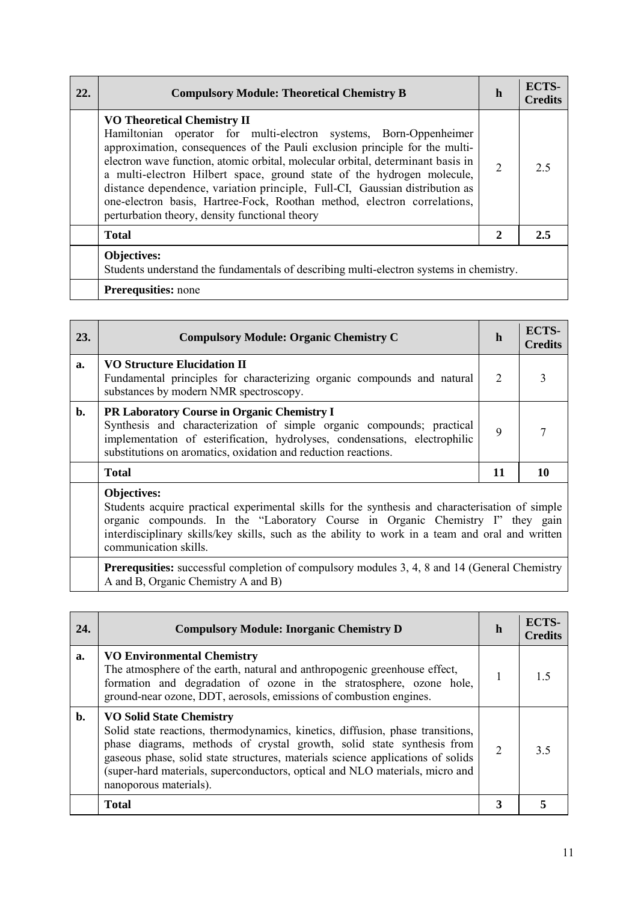| 22. | <b>Compulsory Module: Theoretical Chemistry B</b>                                                                                                                                                                                                                                                                                                                                                                                                                                                                                                                | h              | ECTS-<br><b>Credits</b> |
|-----|------------------------------------------------------------------------------------------------------------------------------------------------------------------------------------------------------------------------------------------------------------------------------------------------------------------------------------------------------------------------------------------------------------------------------------------------------------------------------------------------------------------------------------------------------------------|----------------|-------------------------|
|     | <b>VO Theoretical Chemistry II</b><br>Hamiltonian operator for multi-electron systems, Born-Oppenheimer<br>approximation, consequences of the Pauli exclusion principle for the multi-<br>electron wave function, atomic orbital, molecular orbital, determinant basis in<br>a multi-electron Hilbert space, ground state of the hydrogen molecule,<br>distance dependence, variation principle, Full-CI, Gaussian distribution as<br>one-electron basis, Hartree-Fock, Roothan method, electron correlations,<br>perturbation theory, density functional theory | $\overline{2}$ | 2.5                     |
|     | <b>Total</b>                                                                                                                                                                                                                                                                                                                                                                                                                                                                                                                                                     | $\mathbf{2}$   | 2.5                     |
|     | Objectives:<br>Students understand the fundamentals of describing multi-electron systems in chemistry.                                                                                                                                                                                                                                                                                                                                                                                                                                                           |                |                         |
|     | <b>Prerequsities:</b> none                                                                                                                                                                                                                                                                                                                                                                                                                                                                                                                                       |                |                         |

| 23. | <b>Compulsory Module: Organic Chemistry C</b>                                                                                                                                                                                                                               | h  | ECTS-<br><b>Credits</b> |
|-----|-----------------------------------------------------------------------------------------------------------------------------------------------------------------------------------------------------------------------------------------------------------------------------|----|-------------------------|
| a.  | <b>VO Structure Elucidation II</b><br>Fundamental principles for characterizing organic compounds and natural<br>substances by modern NMR spectroscopy.                                                                                                                     | 2  |                         |
| b.  | <b>PR Laboratory Course in Organic Chemistry I</b><br>Synthesis and characterization of simple organic compounds; practical<br>implementation of esterification, hydrolyses, condensations, electrophilic<br>substitutions on aromatics, oxidation and reduction reactions. | 9  |                         |
|     | <b>Total</b>                                                                                                                                                                                                                                                                | 11 |                         |
|     | Objectives:                                                                                                                                                                                                                                                                 |    |                         |

Students acquire practical experimental skills for the synthesis and characterisation of simple organic compounds. In the "Laboratory Course in Organic Chemistry I" they gain interdisciplinary skills/key skills, such as the ability to work in a team and oral and written communication skills.

Prerequsities: successful completion of compulsory modules 3, 4, 8 and 14 (General Chemistry A and B, Organic Chemistry A and B)

| 24.            | <b>Compulsory Module: Inorganic Chemistry D</b>                                                                                                                                                                                                                                                                                                                                         | h              | ECTS-<br><b>Credits</b> |
|----------------|-----------------------------------------------------------------------------------------------------------------------------------------------------------------------------------------------------------------------------------------------------------------------------------------------------------------------------------------------------------------------------------------|----------------|-------------------------|
| a.             | <b>VO Environmental Chemistry</b><br>The atmosphere of the earth, natural and anthropogenic greenhouse effect,<br>formation and degradation of ozone in the stratosphere, ozone hole,<br>ground-near ozone, DDT, aerosols, emissions of combustion engines.                                                                                                                             |                |                         |
| $\mathbf{b}$ . | <b>VO Solid State Chemistry</b><br>Solid state reactions, thermodynamics, kinetics, diffusion, phase transitions,<br>phase diagrams, methods of crystal growth, solid state synthesis from<br>gaseous phase, solid state structures, materials science applications of solids<br>(super-hard materials, superconductors, optical and NLO materials, micro and<br>nanoporous materials). | $\overline{2}$ | 35                      |
|                | <b>Total</b>                                                                                                                                                                                                                                                                                                                                                                            | 3              |                         |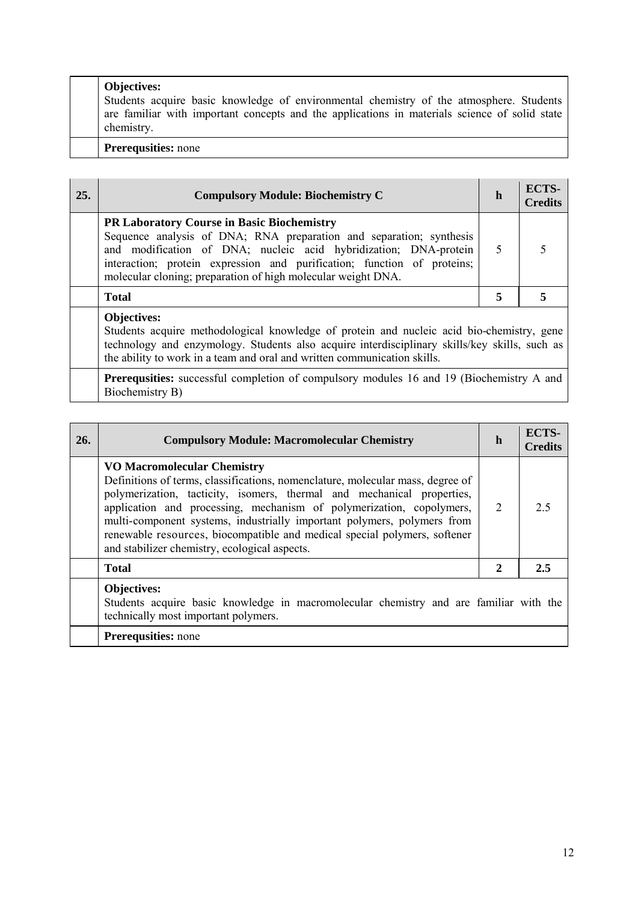| <b>Objectives:</b><br>Students acquire basic knowledge of environmental chemistry of the atmosphere. Students<br>are familiar with important concepts and the applications in materials science of solid state<br>chemistry. |
|------------------------------------------------------------------------------------------------------------------------------------------------------------------------------------------------------------------------------|
| <b>Prerequsities:</b> none                                                                                                                                                                                                   |

| 25. | <b>Compulsory Module: Biochemistry C</b>                                                                                                                                                                                                                                                                                                  | h | ECTS-<br><b>Credits</b> |
|-----|-------------------------------------------------------------------------------------------------------------------------------------------------------------------------------------------------------------------------------------------------------------------------------------------------------------------------------------------|---|-------------------------|
|     | <b>PR Laboratory Course in Basic Biochemistry</b><br>Sequence analysis of DNA; RNA preparation and separation; synthesis<br>and modification of DNA; nucleic acid hybridization; DNA-protein  <br>interaction; protein expression and purification; function of proteins;<br>molecular cloning; preparation of high molecular weight DNA. | 5 |                         |
|     | <b>Total</b>                                                                                                                                                                                                                                                                                                                              | 5 |                         |
|     | <b>Objectives:</b><br>Students acquire methodological knowledge of protein and nucleic acid bio-chemistry, gene<br>technology and enzymology. Students also acquire interdisciplinary skills/key skills, such as                                                                                                                          |   |                         |

the ability to work in a team and oral and written communication skills. **Prerequsities:** successful completion of compulsory modules 16 and 19 (Biochemistry A and

Biochemistry B)

| 26. | <b>Compulsory Module: Macromolecular Chemistry</b>                                                                                                                                                                                                                                                                                                                                                                                                                              | h | ECTS-<br><b>Credits</b> |
|-----|---------------------------------------------------------------------------------------------------------------------------------------------------------------------------------------------------------------------------------------------------------------------------------------------------------------------------------------------------------------------------------------------------------------------------------------------------------------------------------|---|-------------------------|
|     | <b>VO Macromolecular Chemistry</b><br>Definitions of terms, classifications, nomenclature, molecular mass, degree of<br>polymerization, tacticity, isomers, thermal and mechanical properties,<br>application and processing, mechanism of polymerization, copolymers,<br>multi-component systems, industrially important polymers, polymers from<br>renewable resources, biocompatible and medical special polymers, softener<br>and stabilizer chemistry, ecological aspects. | 2 | 2.5                     |
|     | <b>Total</b>                                                                                                                                                                                                                                                                                                                                                                                                                                                                    | 2 | 2.5                     |
|     | Objectives:<br>Students acquire basic knowledge in macromolecular chemistry and are familiar with the<br>technically most important polymers.<br><b>Prerequsities:</b> none                                                                                                                                                                                                                                                                                                     |   |                         |
|     |                                                                                                                                                                                                                                                                                                                                                                                                                                                                                 |   |                         |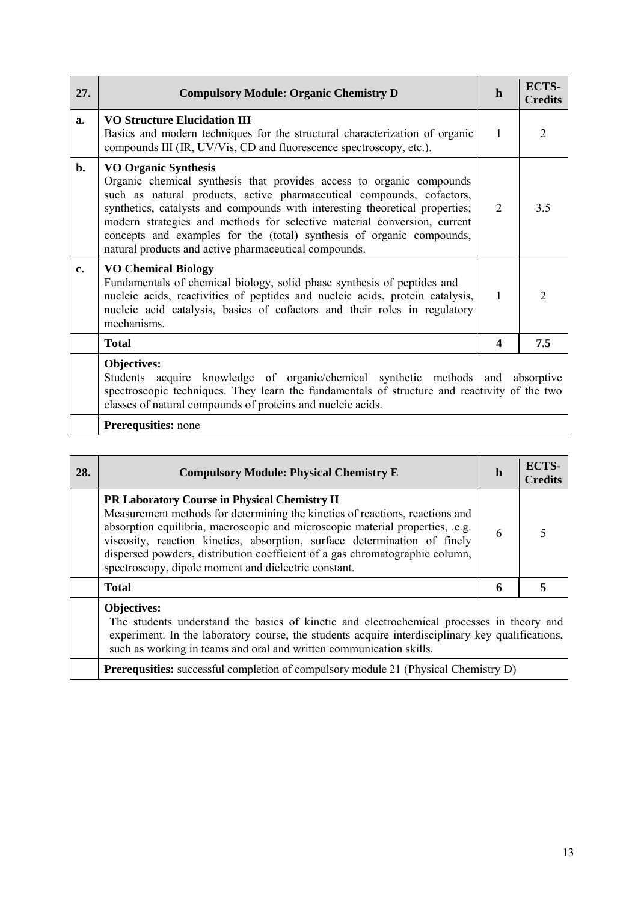| 27.            | <b>Compulsory Module: Organic Chemistry D</b>                                                                                                                                                                                                                                                                                                                                                                                                                              | $\mathbf h$    | <b>ECTS-</b><br><b>Credits</b> |
|----------------|----------------------------------------------------------------------------------------------------------------------------------------------------------------------------------------------------------------------------------------------------------------------------------------------------------------------------------------------------------------------------------------------------------------------------------------------------------------------------|----------------|--------------------------------|
| a.             | <b>VO Structure Elucidation III</b><br>Basics and modern techniques for the structural characterization of organic<br>compounds III (IR, UV/Vis, CD and fluorescence spectroscopy, etc.).                                                                                                                                                                                                                                                                                  | $\mathbf{1}$   | $\overline{2}$                 |
| $\mathbf{b}$ . | <b>VO Organic Synthesis</b><br>Organic chemical synthesis that provides access to organic compounds<br>such as natural products, active pharmaceutical compounds, cofactors,<br>synthetics, catalysts and compounds with interesting theoretical properties;<br>modern strategies and methods for selective material conversion, current<br>concepts and examples for the (total) synthesis of organic compounds,<br>natural products and active pharmaceutical compounds. | $\overline{2}$ | 3.5                            |
| c.             | <b>VO Chemical Biology</b><br>Fundamentals of chemical biology, solid phase synthesis of peptides and<br>nucleic acids, reactivities of peptides and nucleic acids, protein catalysis,<br>nucleic acid catalysis, basics of cofactors and their roles in regulatory<br>mechanisms.                                                                                                                                                                                         | $\mathbf{1}$   | 2                              |
|                | <b>Total</b>                                                                                                                                                                                                                                                                                                                                                                                                                                                               | 4              | 7.5                            |
|                | Objectives:<br>Students acquire knowledge of organic/chemical synthetic methods and absorptive<br>spectroscopic techniques. They learn the fundamentals of structure and reactivity of the two<br>classes of natural compounds of proteins and nucleic acids.                                                                                                                                                                                                              |                |                                |
|                | <b>Prerequsities:</b> none                                                                                                                                                                                                                                                                                                                                                                                                                                                 |                |                                |

| 28. | <b>Compulsory Module: Physical Chemistry E</b>                                                                                                                                                                                                                                                                                                                                                                                             | h | ECTS-<br><b>Credits</b> |
|-----|--------------------------------------------------------------------------------------------------------------------------------------------------------------------------------------------------------------------------------------------------------------------------------------------------------------------------------------------------------------------------------------------------------------------------------------------|---|-------------------------|
|     | <b>PR Laboratory Course in Physical Chemistry II</b><br>Measurement methods for determining the kinetics of reactions, reactions and<br>absorption equilibria, macroscopic and microscopic material properties, .e.g.<br>viscosity, reaction kinetics, absorption, surface determination of finely<br>dispersed powders, distribution coefficient of a gas chromatographic column,<br>spectroscopy, dipole moment and dielectric constant. | 6 | 5                       |
|     | <b>Total</b>                                                                                                                                                                                                                                                                                                                                                                                                                               | 6 | 5                       |
|     | <b>Objectives:</b><br>The students understand the basics of kinetic and electrochemical processes in theory and<br>experiment. In the laboratory course, the students acquire interdisciplinary key qualifications,<br>such as working in teams and oral and written communication skills.                                                                                                                                                 |   |                         |
|     | <b>Prerequsities:</b> successful completion of compulsory module 21 (Physical Chemistry D)                                                                                                                                                                                                                                                                                                                                                 |   |                         |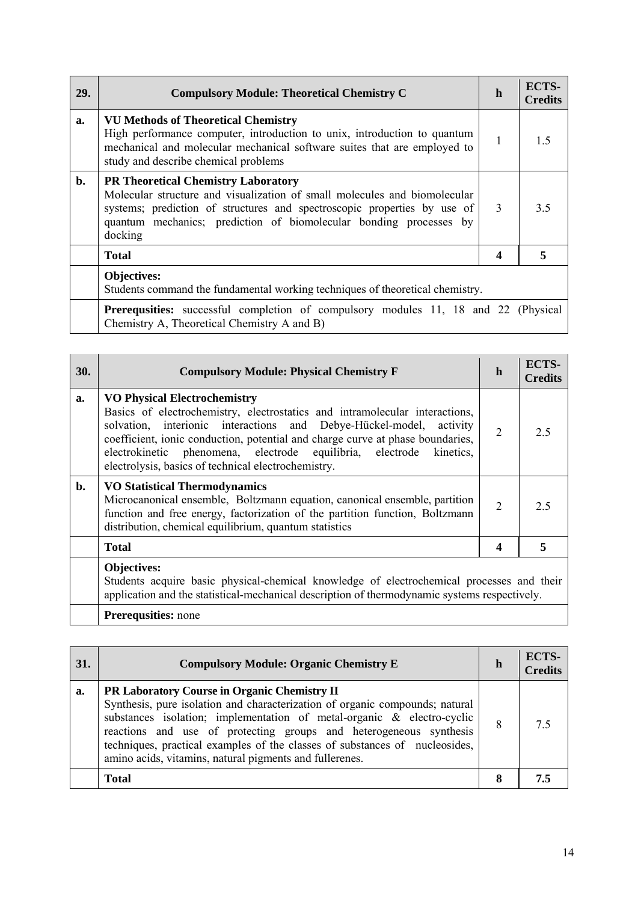| <b>29.</b> | <b>Compulsory Module: Theoretical Chemistry C</b>                                                                                                                                                                                                                                    | h | ECTS-<br><b>Credits</b> |
|------------|--------------------------------------------------------------------------------------------------------------------------------------------------------------------------------------------------------------------------------------------------------------------------------------|---|-------------------------|
| a.         | <b>VU Methods of Theoretical Chemistry</b><br>High performance computer, introduction to unix, introduction to quantum<br>mechanical and molecular mechanical software suites that are employed to<br>study and describe chemical problems                                           | 1 | 1.5                     |
| b.         | <b>PR Theoretical Chemistry Laboratory</b><br>Molecular structure and visualization of small molecules and biomolecular<br>systems; prediction of structures and spectroscopic properties by use of<br>quantum mechanics; prediction of biomolecular bonding processes by<br>docking | 3 | 3.5                     |
|            | <b>Total</b>                                                                                                                                                                                                                                                                         | 4 | 5                       |
|            | <b>Objectives:</b><br>Students command the fundamental working techniques of theoretical chemistry.                                                                                                                                                                                  |   |                         |
|            | <b>Prerequsities:</b> successful completion of compulsory modules 11, 18 and 22 (Physical<br>Chemistry A, Theoretical Chemistry A and B)                                                                                                                                             |   |                         |

| 30.            | <b>Compulsory Module: Physical Chemistry F</b>                                                                                                                                                                                                                                                                                                                                                            | h              | ECTS-<br>Credits |
|----------------|-----------------------------------------------------------------------------------------------------------------------------------------------------------------------------------------------------------------------------------------------------------------------------------------------------------------------------------------------------------------------------------------------------------|----------------|------------------|
| a.             | <b>VO Physical Electrochemistry</b><br>Basics of electrochemistry, electrostatics and intramolecular interactions,<br>solvation, interionic interactions and Debye-Hückel-model, activity<br>coefficient, ionic conduction, potential and charge curve at phase boundaries,<br>electrokinetic phenomena, electrode equilibria, electrode kinetics,<br>electrolysis, basics of technical electrochemistry. | $\overline{2}$ | 2.5              |
| $\mathbf{b}$ . | <b>VO Statistical Thermodynamics</b><br>Microcanonical ensemble, Boltzmann equation, canonical ensemble, partition<br>function and free energy, factorization of the partition function, Boltzmann<br>distribution, chemical equilibrium, quantum statistics                                                                                                                                              | $\overline{2}$ | 2.5              |
|                | <b>Total</b>                                                                                                                                                                                                                                                                                                                                                                                              | 4              |                  |
|                | Objectives:<br>Students acquire basic physical-chemical knowledge of electrochemical processes and their<br>application and the statistical-mechanical description of thermodynamic systems respectively.                                                                                                                                                                                                 |                |                  |

| <b>31.</b> | <b>Compulsory Module: Organic Chemistry E</b>                                                                                                                                                                                                                                                                                                                                                                          | h | ECTS-<br><b>Credits</b> |
|------------|------------------------------------------------------------------------------------------------------------------------------------------------------------------------------------------------------------------------------------------------------------------------------------------------------------------------------------------------------------------------------------------------------------------------|---|-------------------------|
| a.         | PR Laboratory Course in Organic Chemistry II<br>Synthesis, pure isolation and characterization of organic compounds; natural<br>substances isolation; implementation of metal-organic & electro-cyclic<br>reactions and use of protecting groups and heterogeneous synthesis<br>techniques, practical examples of the classes of substances of nucleosides,<br>amino acids, vitamins, natural pigments and fullerenes. | 8 | 7.5                     |
|            | Total                                                                                                                                                                                                                                                                                                                                                                                                                  | 8 |                         |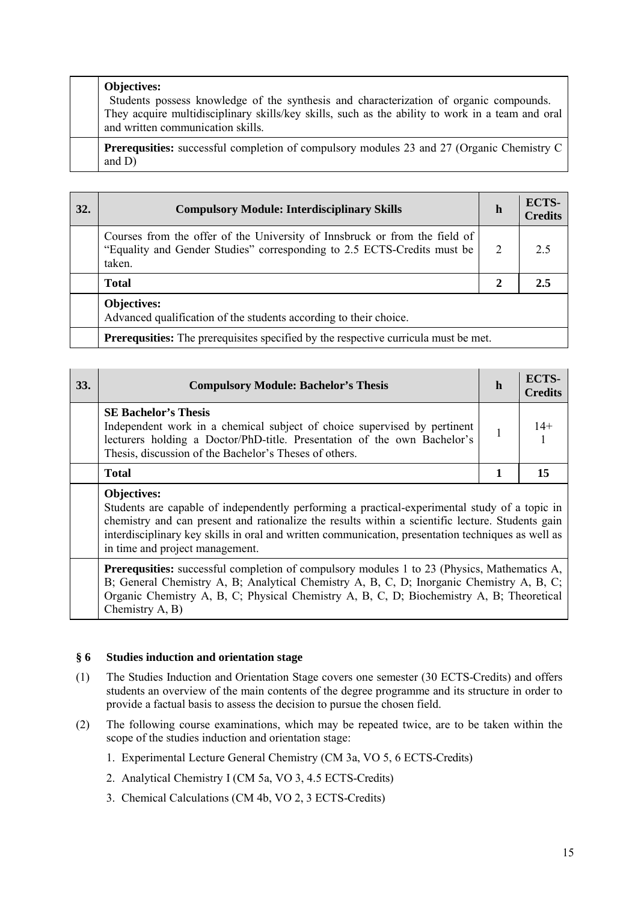| <b>Objectives:</b><br>Students possess knowledge of the synthesis and characterization of organic compounds.<br>They acquire multidisciplinary skills/key skills, such as the ability to work in a team and oral<br>and written communication skills. |
|-------------------------------------------------------------------------------------------------------------------------------------------------------------------------------------------------------------------------------------------------------|
| <b>Prerequsities:</b> successful completion of compulsory modules 23 and 27 (Organic Chemistry C)<br>and $D$ )                                                                                                                                        |

| <b>32.</b> | <b>Compulsory Module: Interdisciplinary Skills</b>                                                                                                              | $\mathbf h$  | ECTS-<br><b>Credits</b> |
|------------|-----------------------------------------------------------------------------------------------------------------------------------------------------------------|--------------|-------------------------|
|            | Courses from the offer of the University of Innsbruck or from the field of<br>"Equality and Gender Studies" corresponding to 2.5 ECTS-Credits must be<br>taken. | 2            | 2.5                     |
|            | <b>Total</b>                                                                                                                                                    | $\mathbf{2}$ | 2.5                     |
|            | <b>Objectives:</b><br>Advanced qualification of the students according to their choice.                                                                         |              |                         |
|            | <b>Prerequisities:</b> The prerequisites specified by the respective curricula must be met.                                                                     |              |                         |

| 33. | <b>Compulsory Module: Bachelor's Thesis</b>                                                                                                                                                                                                                                                                                                                      | h | ECTS-<br><b>Credits</b> |
|-----|------------------------------------------------------------------------------------------------------------------------------------------------------------------------------------------------------------------------------------------------------------------------------------------------------------------------------------------------------------------|---|-------------------------|
|     | <b>SE Bachelor's Thesis</b><br>Independent work in a chemical subject of choice supervised by pertinent<br>lecturers holding a Doctor/PhD-title. Presentation of the own Bachelor's<br>Thesis, discussion of the Bachelor's Theses of others.                                                                                                                    |   | $14+$                   |
|     | <b>Total</b>                                                                                                                                                                                                                                                                                                                                                     |   | 15                      |
|     | <b>Objectives:</b><br>Students are capable of independently performing a practical-experimental study of a topic in<br>chemistry and can present and rationalize the results within a scientific lecture. Students gain<br>interdisciplinary key skills in oral and written communication, presentation techniques as well as<br>in time and project management. |   |                         |

Prerequsities: successful completion of compulsory modules 1 to 23 (Physics, Mathematics A, B; General Chemistry A, B; Analytical Chemistry A, B, C, D; Inorganic Chemistry A, B, C; Organic Chemistry A, B, C; Physical Chemistry A, B, C, D; Biochemistry A, B; Theoretical Chemistry A, B)

## **§ 6 Studies induction and orientation stage**

- (1) The Studies Induction and Orientation Stage covers one semester (30 ECTS-Credits) and offers students an overview of the main contents of the degree programme and its structure in order to provide a factual basis to assess the decision to pursue the chosen field.
- (2) The following course examinations, which may be repeated twice, are to be taken within the scope of the studies induction and orientation stage:
	- 1. Experimental Lecture General Chemistry (CM 3a, VO 5, 6 ECTS-Credits)
	- 2. Analytical Chemistry I (CM 5a, VO 3, 4.5 ECTS-Credits)
	- 3. Chemical Calculations (CM 4b, VO 2, 3 ECTS-Credits)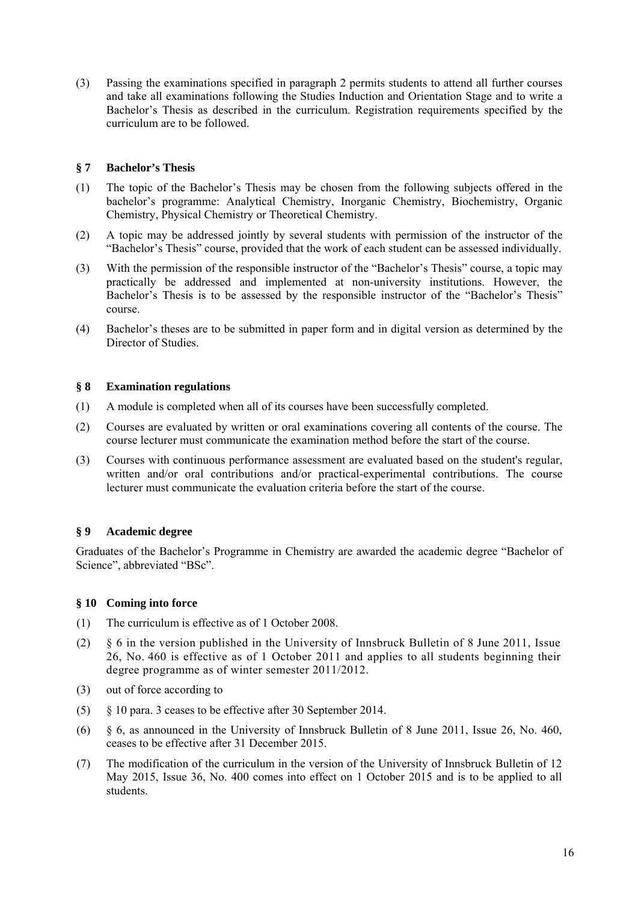(3) Passing the examinations specified in paragraph 2 permits students to attend all further courses and take all examinations following the Studies Induction and Orientation Stage and to write a Bachelor's Thesis as described in the curriculum. Registration requirements specified by the curriculum are to be followed.

### **§ 7 Bachelor's Thesis**

- (1) The topic of the Bachelor's Thesis may be chosen from the following subjects offered in the bachelor's programme: Analytical Chemistry, Inorganic Chemistry, Biochemistry, Organic Chemistry, Physical Chemistry or Theoretical Chemistry.
- (2) A topic may be addressed jointly by several students with permission of the instructor of the "Bachelor's Thesis" course, provided that the work of each student can be assessed individually.
- (3) With the permission of the responsible instructor of the "Bachelor's Thesis" course, a topic may practically be addressed and implemented at non-university institutions. However, the Bachelor's Thesis is to be assessed by the responsible instructor of the "Bachelor's Thesis" course.
- (4) Bachelor's theses are to be submitted in paper form and in digital version as determined by the Director of Studies.

### **§ 8 Examination regulations**

- (1) A module is completed when all of its courses have been successfully completed.
- (2) Courses are evaluated by written or oral examinations covering all contents of the course. The course lecturer must communicate the examination method before the start of the course.
- (3) Courses with continuous performance assessment are evaluated based on the student's regular, written and/or oral contributions and/or practical-experimental contributions. The course lecturer must communicate the evaluation criteria before the start of the course.

## **§ 9 Academic degree**

Graduates of the Bachelor's Programme in Chemistry are awarded the academic degree "Bachelor of Science", abbreviated "BSc".

#### **§ 10 Coming into force**

- (1) The curriculum is effective as of 1 October 2008.
- (2) § 6 in the version published in the University of Innsbruck Bulletin of 8 June 2011, Issue 26, No. 460 is effective as of 1 October 2011 and applies to all students beginning their degree programme as of winter semester 2011/2012.
- (3) out of force according to
- (5) § 10 para. 3 ceases to be effective after 30 September 2014.
- (6) § 6, as announced in the University of Innsbruck Bulletin of 8 June 2011, Issue 26, No. 460, ceases to be effective after 31 December 2015.
- (7) The modification of the curriculum in the version of the University of Innsbruck Bulletin of 12 May 2015, Issue 36, No. 400 comes into effect on 1 October 2015 and is to be applied to all students.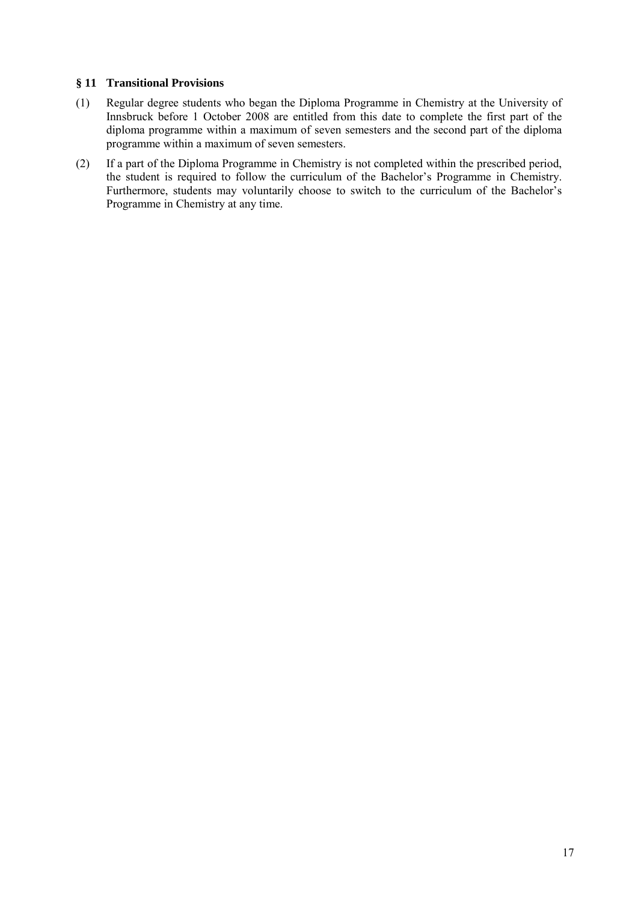### **§ 11 Transitional Provisions**

- (1) Regular degree students who began the Diploma Programme in Chemistry at the University of Innsbruck before 1 October 2008 are entitled from this date to complete the first part of the diploma programme within a maximum of seven semesters and the second part of the diploma programme within a maximum of seven semesters.
- (2) If a part of the Diploma Programme in Chemistry is not completed within the prescribed period, the student is required to follow the curriculum of the Bachelor's Programme in Chemistry. Furthermore, students may voluntarily choose to switch to the curriculum of the Bachelor's Programme in Chemistry at any time.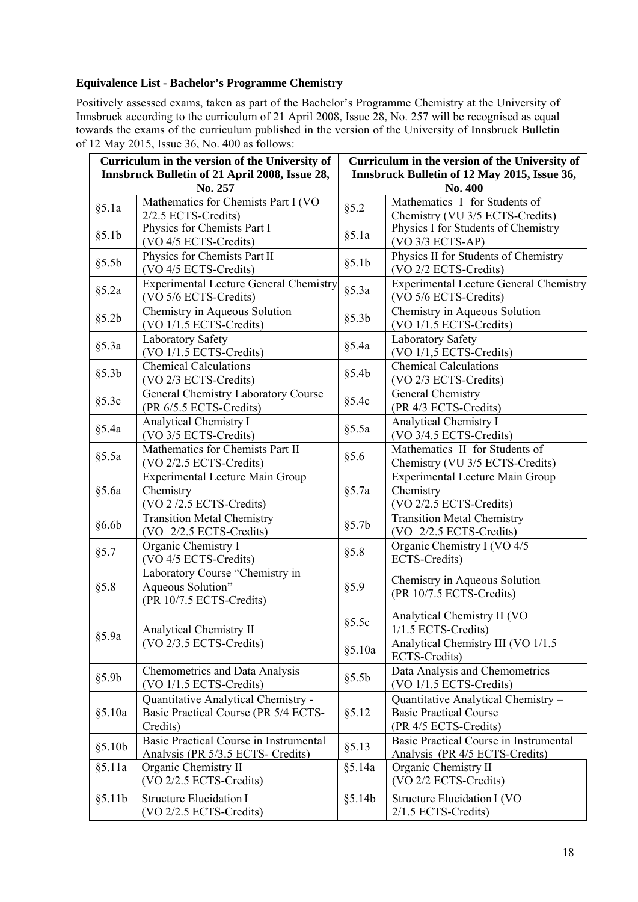## **Equivalence List - Bachelor's Programme Chemistry**

Positively assessed exams, taken as part of the Bachelor's Programme Chemistry at the University of Innsbruck according to the curriculum of 21 April 2008, Issue 28, No. 257 will be recognised as equal towards the exams of the curriculum published in the version of the University of Innsbruck Bulletin of 12 May 2015, Issue 36, No. 400 as follows:

| Curriculum in the version of the University of |                                               | Curriculum in the version of the University of |                                               |  |
|------------------------------------------------|-----------------------------------------------|------------------------------------------------|-----------------------------------------------|--|
| Innsbruck Bulletin of 21 April 2008, Issue 28, |                                               | Innsbruck Bulletin of 12 May 2015, Issue 36,   |                                               |  |
| No. 257                                        |                                               | No. 400                                        |                                               |  |
|                                                | Mathematics for Chemists Part I (VO           |                                                | Mathematics I for Students of                 |  |
| §5.1a                                          | 2/2.5 ECTS-Credits)                           | §5.2                                           | Chemistry (VU 3/5 ECTS-Credits)               |  |
| §5.1b                                          | Physics for Chemists Part I                   | §5.1a                                          | Physics I for Students of Chemistry           |  |
|                                                | (VO 4/5 ECTS-Credits)                         |                                                | (VO 3/3 ECTS-AP)                              |  |
| §5.5b                                          | Physics for Chemists Part II                  | §5.1b                                          | Physics II for Students of Chemistry          |  |
|                                                | (VO 4/5 ECTS-Credits)                         |                                                | (VO 2/2 ECTS-Credits)                         |  |
|                                                | <b>Experimental Lecture General Chemistry</b> | $§$ 5.3a                                       | <b>Experimental Lecture General Chemistry</b> |  |
| $§$ 5.2a                                       | (VO 5/6 ECTS-Credits)                         |                                                | (VO 5/6 ECTS-Credits)                         |  |
| §5.2b                                          | Chemistry in Aqueous Solution                 | §5.3b                                          | Chemistry in Aqueous Solution                 |  |
|                                                | (VO 1/1.5 ECTS-Credits)                       |                                                | (VO 1/1.5 ECTS-Credits)                       |  |
| $§$ 5.3a                                       | Laboratory Safety                             | §5.4a                                          | Laboratory Safety                             |  |
|                                                | (VO 1/1.5 ECTS-Credits)                       |                                                | $(VO 1/1, 5 ECTS-Credits)$                    |  |
| §5.3b                                          | <b>Chemical Calculations</b>                  | §5.4b                                          | <b>Chemical Calculations</b>                  |  |
|                                                | (VO 2/3 ECTS-Credits)                         |                                                | (VO 2/3 ECTS-Credits)                         |  |
| §5.3c                                          | General Chemistry Laboratory Course           |                                                | General Chemistry                             |  |
|                                                | (PR 6/5.5 ECTS-Credits)                       | §5.4c                                          | (PR 4/3 ECTS-Credits)                         |  |
| $§$ 5.4a                                       | <b>Analytical Chemistry I</b>                 | $§$ 5.5a                                       | <b>Analytical Chemistry I</b>                 |  |
|                                                | (VO 3/5 ECTS-Credits)                         |                                                | (VO 3/4.5 ECTS-Credits)                       |  |
| §5.5a                                          | Mathematics for Chemists Part II              | § 5.6                                          | Mathematics II for Students of                |  |
|                                                | (VO 2/2.5 ECTS-Credits)                       |                                                | Chemistry (VU 3/5 ECTS-Credits)               |  |
|                                                | <b>Experimental Lecture Main Group</b>        |                                                | <b>Experimental Lecture Main Group</b>        |  |
| §5.6a                                          | Chemistry                                     | §5.7a                                          | Chemistry                                     |  |
|                                                | (VO 2/2.5 ECTS-Credits)                       |                                                | (VO 2/2.5 ECTS-Credits)                       |  |
| §6.6b                                          | <b>Transition Metal Chemistry</b>             | §5.7b                                          | <b>Transition Metal Chemistry</b>             |  |
|                                                | (VO 2/2.5 ECTS-Credits)                       |                                                | (VO 2/2.5 ECTS-Credits)                       |  |
| § 5.7                                          | Organic Chemistry I                           | §5.8                                           | Organic Chemistry I (VO 4/5                   |  |
|                                                | (VO 4/5 ECTS-Credits)                         |                                                | ECTS-Credits)                                 |  |
|                                                | Laboratory Course "Chemistry in               | § 5.9                                          | Chemistry in Aqueous Solution                 |  |
| § 5.8                                          | Aqueous Solution"                             |                                                | (PR 10/7.5 ECTS-Credits)                      |  |
|                                                | (PR 10/7.5 ECTS-Credits)                      |                                                |                                               |  |
|                                                |                                               | §5.5c                                          | Analytical Chemistry II (VO                   |  |
| $§$ 5.9a                                       | Analytical Chemistry II                       |                                                | $1/1.5$ ECTS-Credits)                         |  |
|                                                | (VO 2/3.5 ECTS-Credits)                       | § 5.10a                                        | Analytical Chemistry III (VO 1/1.5            |  |
|                                                |                                               |                                                | ECTS-Credits)                                 |  |
| §5.9b                                          | Chemometrics and Data Analysis                | §5.5b                                          | Data Analysis and Chemometrics                |  |
|                                                | (VO 1/1.5 ECTS-Credits)                       |                                                | (VO 1/1.5 ECTS-Credits)                       |  |
|                                                | Quantitative Analytical Chemistry -           |                                                | Quantitative Analytical Chemistry -           |  |
| § 5.10a                                        | Basic Practical Course (PR 5/4 ECTS-          | § 5.12                                         | <b>Basic Practical Course</b>                 |  |
|                                                | Credits)                                      |                                                | (PR 4/5 ECTS-Credits)                         |  |
| § 5.10b                                        | Basic Practical Course in Instrumental        | § 5.13                                         | <b>Basic Practical Course in Instrumental</b> |  |
|                                                | Analysis (PR 5/3.5 ECTS- Credits)             |                                                | Analysis (PR 4/5 ECTS-Credits)                |  |
| § 5.11a                                        | Organic Chemistry II                          | § 5.14a                                        | Organic Chemistry II                          |  |
|                                                | $(VO 2/2.5$ ECTS-Credits)                     |                                                | (VO 2/2 ECTS-Credits)                         |  |
| § 5.11b                                        | <b>Structure Elucidation I</b>                | § 5.14b                                        | Structure Elucidation I (VO                   |  |
|                                                | (VO 2/2.5 ECTS-Credits)                       |                                                | 2/1.5 ECTS-Credits)                           |  |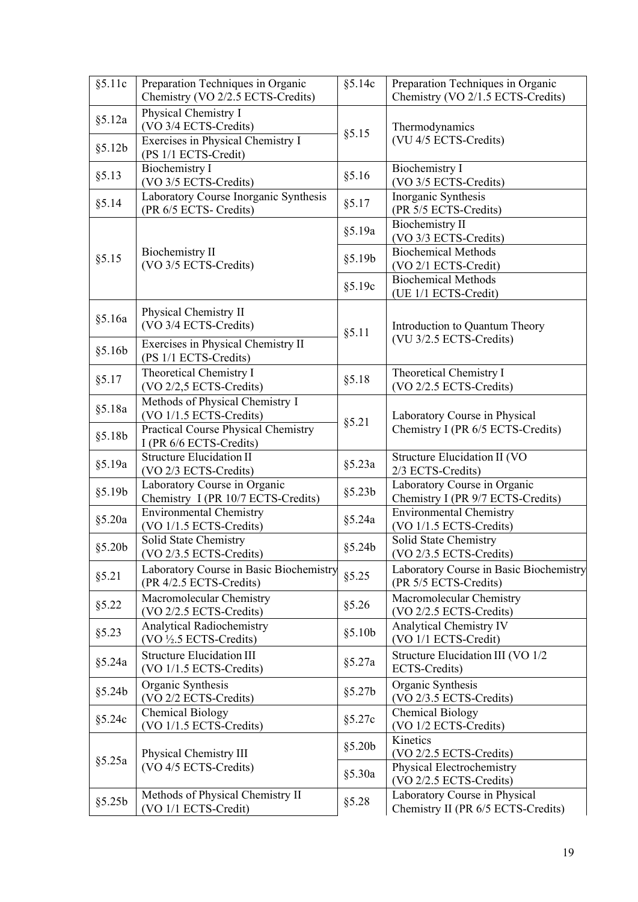| §5.11c            | Preparation Techniques in Organic<br>Chemistry (VO 2/2.5 ECTS-Credits)             | § 5.14c | Preparation Techniques in Organic<br>Chemistry (VO 2/1.5 ECTS-Credits) |
|-------------------|------------------------------------------------------------------------------------|---------|------------------------------------------------------------------------|
| § 5.12a<br>§5.12b | Physical Chemistry I<br>(VO 3/4 ECTS-Credits)<br>Exercises in Physical Chemistry I | §5.15   | Thermodynamics<br>(VU 4/5 ECTS-Credits)                                |
| §5.13             | (PS 1/1 ECTS-Credit)<br><b>Biochemistry I</b><br>(VO 3/5 ECTS-Credits)             | § 5.16  | <b>Biochemistry I</b><br>(VO 3/5 ECTS-Credits)                         |
| § 5.14            | Laboratory Course Inorganic Synthesis<br>(PR 6/5 ECTS- Credits)                    | § 5.17  | Inorganic Synthesis<br>(PR 5/5 ECTS-Credits)                           |
|                   |                                                                                    | § 5.19a | <b>Biochemistry II</b><br>(VO 3/3 ECTS-Credits)                        |
| §5.15             | <b>Biochemistry II</b><br>(VO 3/5 ECTS-Credits)                                    | §5.19b  | <b>Biochemical Methods</b><br>(VO 2/1 ECTS-Credit)                     |
|                   |                                                                                    | §5.19c  | <b>Biochemical Methods</b><br>(UE 1/1 ECTS-Credit)                     |
| § 5.16a           | Physical Chemistry II<br>(VO 3/4 ECTS-Credits)                                     | § 5.11  | Introduction to Quantum Theory                                         |
| §5.16b            | Exercises in Physical Chemistry II<br>(PS 1/1 ECTS-Credits)                        |         | (VU 3/2.5 ECTS-Credits)                                                |
| § 5.17            | Theoretical Chemistry I<br>(VO 2/2,5 ECTS-Credits)                                 | § 5.18  | Theoretical Chemistry I<br>(VO 2/2.5 ECTS-Credits)                     |
| § 5.18a           | Methods of Physical Chemistry I<br>(VO 1/1.5 ECTS-Credits)                         | § 5.21  | Laboratory Course in Physical                                          |
| § 5.18b           | <b>Practical Course Physical Chemistry</b><br>I (PR 6/6 ECTS-Credits)              |         | Chemistry I (PR 6/5 ECTS-Credits)                                      |
| § 5.19a           | <b>Structure Elucidation II</b><br>(VO 2/3 ECTS-Credits)                           | § 5.23a | Structure Elucidation II (VO<br>2/3 ECTS-Credits)                      |
| § 5.19b           | Laboratory Course in Organic<br>Chemistry I (PR 10/7 ECTS-Credits)                 | § 5.23b | Laboratory Course in Organic<br>Chemistry I (PR 9/7 ECTS-Credits)      |
| §5.20a            | <b>Environmental Chemistry</b><br>(VO 1/1.5 ECTS-Credits)                          | § 5.24a | <b>Environmental Chemistry</b><br>(VO 1/1.5 ECTS-Credits)              |
| § 5.20b           | Solid State Chemistry<br>(VO 2/3.5 ECTS-Credits)                                   | § 5.24b | Solid State Chemistry<br>(VO 2/3.5 ECTS-Credits)                       |
| § 5.21            | Laboratory Course in Basic Biochemistry<br>(PR 4/2.5 ECTS-Credits)                 | §5.25   | Laboratory Course in Basic Biochemistry<br>(PR 5/5 ECTS-Credits)       |
| §5.22             | Macromolecular Chemistry<br>(VO 2/2.5 ECTS-Credits)                                | §5.26   | Macromolecular Chemistry<br>(VO 2/2.5 ECTS-Credits)                    |
| §5.23             | <b>Analytical Radiochemistry</b><br>(VO 1/2.5 ECTS-Credits)                        | § 5.10b | <b>Analytical Chemistry IV</b><br>(VO 1/1 ECTS-Credit)                 |
| § 5.24a           | <b>Structure Elucidation III</b><br>(VO 1/1.5 ECTS-Credits)                        | §5.27a  | Structure Elucidation III (VO 1/2<br>ECTS-Credits)                     |
| §5.24b            | Organic Synthesis<br>(VO 2/2 ECTS-Credits)                                         | §5.27b  | Organic Synthesis<br>(VO 2/3.5 ECTS-Credits)                           |
| §5.24c            | <b>Chemical Biology</b><br>(VO 1/1.5 ECTS-Credits)                                 | §5.27c  | <b>Chemical Biology</b><br>(VO 1/2 ECTS-Credits)                       |
|                   | Physical Chemistry III<br>(VO 4/5 ECTS-Credits)                                    | § 5.20b | Kinetics<br>$(VO 2/2.5 ECTS-Credits)$                                  |
| §5.25a            |                                                                                    | § 5.30a | Physical Electrochemistry<br>(VO 2/2.5 ECTS-Credits)                   |
| §5.25b            | Methods of Physical Chemistry II<br>(VO 1/1 ECTS-Credit)                           | §5.28   | Laboratory Course in Physical<br>Chemistry II (PR 6/5 ECTS-Credits)    |